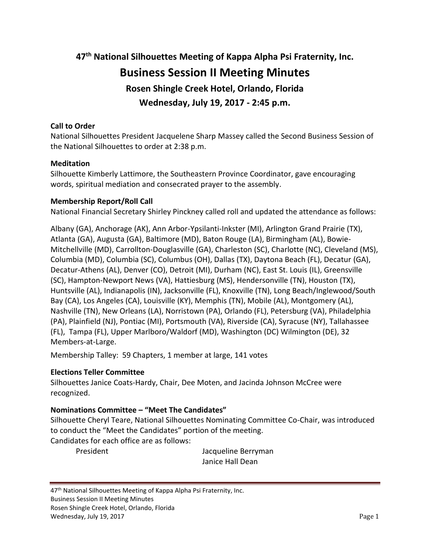**47th National Silhouettes Meeting of Kappa Alpha Psi Fraternity, Inc. Business Session II Meeting Minutes Rosen Shingle Creek Hotel, Orlando, Florida Wednesday, July 19, 2017 - 2:45 p.m.**

# **Call to Order**

National Silhouettes President Jacquelene Sharp Massey called the Second Business Session of the National Silhouettes to order at 2:38 p.m.

## **Meditation**

Silhouette Kimberly Lattimore, the Southeastern Province Coordinator, gave encouraging words, spiritual mediation and consecrated prayer to the assembly.

## **Membership Report/Roll Call**

National Financial Secretary Shirley Pinckney called roll and updated the attendance as follows:

Albany (GA), Anchorage (AK), Ann Arbor-Ypsilanti-Inkster (MI), Arlington Grand Prairie (TX), Atlanta (GA), Augusta (GA), Baltimore (MD), Baton Rouge (LA), Birmingham (AL), Bowie-Mitchellville (MD), Carrollton-Douglasville (GA), Charleston (SC), Charlotte (NC), Cleveland (MS), Columbia (MD), Columbia (SC), Columbus (OH), Dallas (TX), Daytona Beach (FL), Decatur (GA), Decatur-Athens (AL), Denver (CO), Detroit (MI), Durham (NC), East St. Louis (IL), Greensville (SC), Hampton-Newport News (VA), Hattiesburg (MS), Hendersonville (TN), Houston (TX), Huntsville (AL), Indianapolis (IN), Jacksonville (FL), Knoxville (TN), Long Beach/Inglewood/South Bay (CA), Los Angeles (CA), Louisville (KY), Memphis (TN), Mobile (AL), Montgomery (AL), Nashville (TN), New Orleans (LA), Norristown (PA), Orlando (FL), Petersburg (VA), Philadelphia (PA), Plainfield (NJ), Pontiac (MI), Portsmouth (VA), Riverside (CA), Syracuse (NY), Tallahassee (FL), Tampa (FL), Upper Marlboro/Waldorf (MD), Washington (DC) Wilmington (DE), 32 Members-at-Large.

Membership Talley: 59 Chapters, 1 member at large, 141 votes

#### **Elections Teller Committee**

Silhouettes Janice Coats-Hardy, Chair, Dee Moten, and Jacinda Johnson McCree were recognized.

## **Nominations Committee – "Meet The Candidates"**

Silhouette Cheryl Teare, National Silhouettes Nominating Committee Co-Chair, was introduced to conduct the "Meet the Candidates" portion of the meeting. Candidates for each office are as follows:

President **Internal Communist Contract Contract Contract Contract Contract Contract Contract Contract Contract Contract Contract Contract Contract Contract Contract Contract Contract Contract Contract Contract Contract Con** Janice Hall Dean

47<sup>th</sup> National Silhouettes Meeting of Kappa Alpha Psi Fraternity, Inc. Business Session II Meeting Minutes Rosen Shingle Creek Hotel, Orlando, Florida Wednesday, July 19, 2017 **Page 1**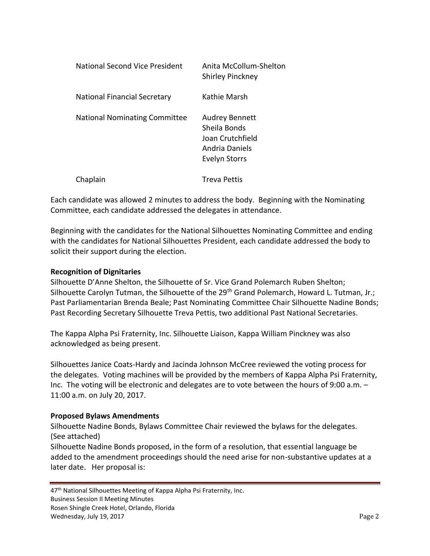| National Second Vice President       | Anita McCollum-Shelton<br>Shirley Pinckney                                                          |
|--------------------------------------|-----------------------------------------------------------------------------------------------------|
| <b>National Financial Secretary</b>  | Kathie Marsh                                                                                        |
| <b>National Nominating Committee</b> | <b>Audrey Bennett</b><br>Sheila Bonds<br>Joan Crutchfield<br>Andria Daniels<br><b>Evelyn Storrs</b> |
| Chaplain                             | <b>Treva Pettis</b>                                                                                 |

Each candidate was allowed 2 minutes to address the body. Beginning with the Nominating Committee, each candidate addressed the delegates in attendance.

Beginning with the candidates for the National Silhouettes Nominating Committee and ending with the candidates for National Silhouettes President, each candidate addressed the body to solicit their support during the election.

# **Recognition of Dignitaries**

Silhouette D'Anne Shelton, the Silhouette of Sr. Vice Grand Polemarch Ruben Shelton; Silhouette Carolyn Tutman, the Silhouette of the 29<sup>th</sup> Grand Polemarch, Howard L. Tutman, Jr.; Past Parliamentarian Brenda Beale; Past Nominating Committee Chair Silhouette Nadine Bonds; Past Recording Secretary Silhouette Treva Pettis, two additional Past National Secretaries.

The Kappa Alpha Psi Fraternity, Inc. Silhouette Liaison, Kappa William Pinckney was also acknowledged as being present.

Silhouettes Janice Coats-Hardy and Jacinda Johnson McCree reviewed the voting process for the delegates. Voting machines will be provided by the members of Kappa Alpha Psi Fraternity, Inc. The voting will be electronic and delegates are to vote between the hours of 9:00 a.m. – 11:00 a.m. on July 20, 2017.

## **Proposed Bylaws Amendments**

Silhouette Nadine Bonds, Bylaws Committee Chair reviewed the bylaws for the delegates. (See attached)

Silhouette Nadine Bonds proposed, in the form of a resolution, that essential language be added to the amendment proceedings should the need arise for non-substantive updates at a later date. Her proposal is:

47<sup>th</sup> National Silhouettes Meeting of Kappa Alpha Psi Fraternity, Inc. Business Session II Meeting Minutes Rosen Shingle Creek Hotel, Orlando, Florida Wednesday, July 19, 2017 **Page 2**